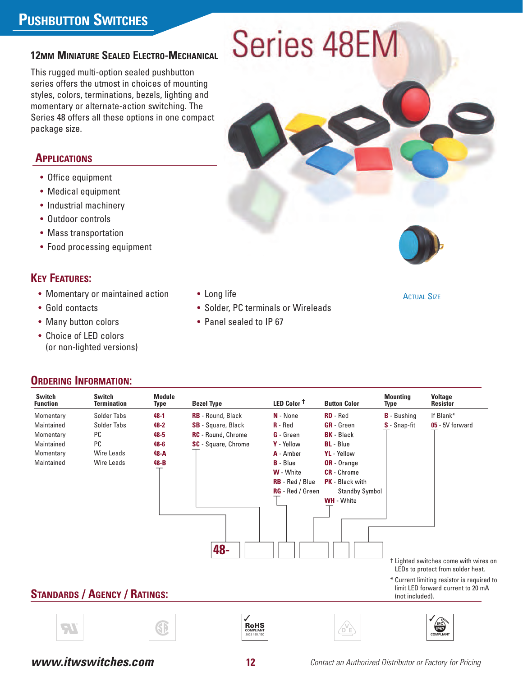## **PUSHBUTTON SWITCHES**

### **12MM MINIATURE SEALED ELECTRO-MECHANICAL**

This rugged multi-option sealed pushbutton series offers the utmost in choices of mounting styles, colors, terminations, bezels, lighting and momentary or alternate-action switching. The Series 48 offers all these options in one compact package size.

### **APPLICATIONS**

- Office equipment
- Medical equipment
- Industrial machinery
- Outdoor controls
- Mass transportation
- Food processing equipment

### **KEY FEATURES:**

- Momentary or maintained action
- Gold contacts
- Many button colors
- Choice of LED colors (or non-lighted versions)

### **ORDERING INFORMATION:**

**STANDARDS / AGENCY / RATINGS: RoHS COMPLIANT**  $\sqrt{ }$ **IEC**<br>IP67<br>DMPLIANT **IP67 V D E Switch Switch Module Mounting Voltage Function Termination Type Bezel Type LED Color † Button Color Type Resistor** Momentary Solder Tabs **48-1 RB** - Round, Black **N** - None **RD** - Red **B** - Bushing If Blank\* Maintained Solder Tabs **48-2 SB** - Square, Black **R** - Red **GR** - Green **S** - Snap-fit **05** - 5V forward Momentary PC **48-5 RC** - Round, Chrome **G** - Green **BK** - Black Maintained PC **48-6 SC** - Square, Chrome **Y** - Yellow **BL** - Blue Momentary Wire Leads **48-A A** - Amber **YL** - Yellow Maintained Wire Leads **48-B B** - Blue **OR** - Orange **W** - White **CR** - Chrome **RB** - Red / Blue **PK** - Black with **RG** - Red / Green Standby Symbol **WH** - White **48-** † Lighted switches come with wires on LEDs to protect from solder heat. \* Current limiting resistor is required to limit LED forward current to 20 mA (not included).

• Solder, PC terminals or Wireleads

• Panel sealed to IP 67

• Long life





**ACTUAL SIZE** 

2002 / 95 / EC

**COMPLIANT**